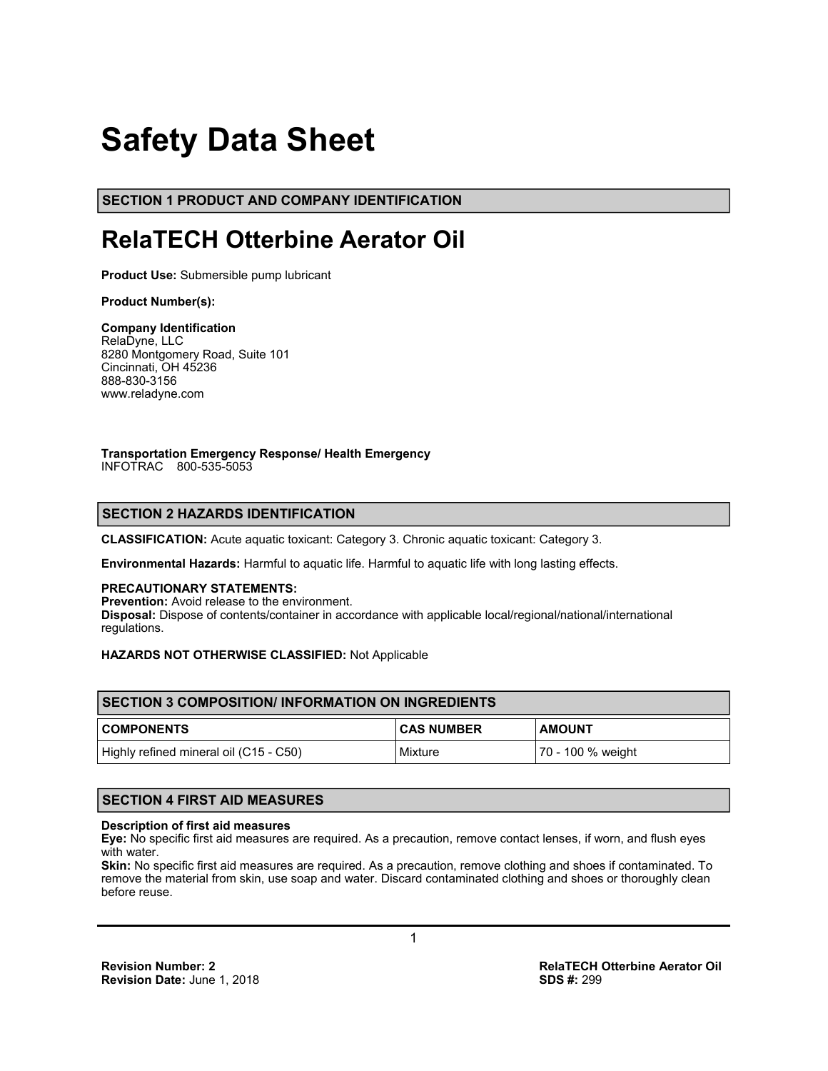# **Safety Data Sheet**

**SECTION 1 PRODUCT AND COMPANY IDENTIFICATION**

## **RelaTECH Otterbine Aerator Oil**

**Product Use:** Submersible pump lubricant

#### **Product Number(s):**

#### **Company Identification**

RelaDyne, LLC 8280 Montgomery Road, Suite 101 Cincinnati, OH 45236 888-830-3156 www.reladyne.com

#### **Transportation Emergency Response/ Health Emergency**  INFOTRAC 800-535-5053

### **SECTION 2 HAZARDS IDENTIFICATION**

**CLASSIFICATION:** Acute aquatic toxicant: Category 3. Chronic aquatic toxicant: Category 3.

**Environmental Hazards:** Harmful to aquatic life. Harmful to aquatic life with long lasting effects.

#### **PRECAUTIONARY STATEMENTS:**

**Prevention:** Avoid release to the environment. **Disposal:** Dispose of contents/container in accordance with applicable local/regional/national/international regulations.

#### **HAZARDS NOT OTHERWISE CLASSIFIED:** Not Applicable

| <b>ISECTION 3 COMPOSITION/INFORMATION ON INGREDIENTS</b> |                   |                   |  |
|----------------------------------------------------------|-------------------|-------------------|--|
| <b>COMPONENTS</b>                                        | <b>CAS NUMBER</b> | <b>AMOUNT</b>     |  |
| Highly refined mineral oil (C15 - C50)                   | Mixture           | 70 - 100 % weight |  |

#### **SECTION 4 FIRST AID MEASURES**

#### **Description of first aid measures**

**Eye:** No specific first aid measures are required. As a precaution, remove contact lenses, if worn, and flush eyes with water.

**Skin:** No specific first aid measures are required. As a precaution, remove clothing and shoes if contaminated. To remove the material from skin, use soap and water. Discard contaminated clothing and shoes or thoroughly clean before reuse.

**Revision Number: 2**<br> **Revision Date:** June 1, 2018<br> **Revision Date:** June 1, 2018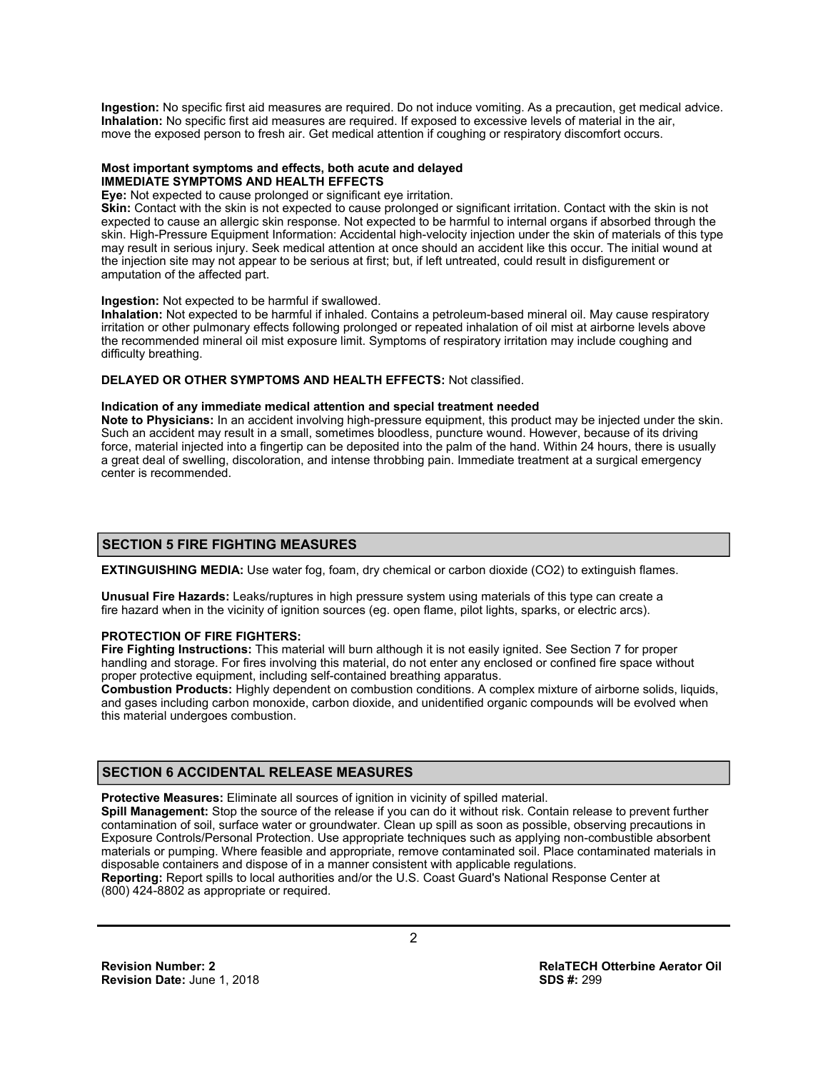**Ingestion:** No specific first aid measures are required. Do not induce vomiting. As a precaution, get medical advice. **Inhalation:** No specific first aid measures are required. If exposed to excessive levels of material in the air, move the exposed person to fresh air. Get medical attention if coughing or respiratory discomfort occurs.

#### **Most important symptoms and effects, both acute and delayed IMMEDIATE SYMPTOMS AND HEALTH EFFECTS**

**Eye:** Not expected to cause prolonged or significant eye irritation.

**Skin:** Contact with the skin is not expected to cause prolonged or significant irritation. Contact with the skin is not expected to cause an allergic skin response. Not expected to be harmful to internal organs if absorbed through the skin. High-Pressure Equipment Information: Accidental high-velocity injection under the skin of materials of this type may result in serious injury. Seek medical attention at once should an accident like this occur. The initial wound at the injection site may not appear to be serious at first; but, if left untreated, could result in disfigurement or amputation of the affected part.

#### **Ingestion:** Not expected to be harmful if swallowed.

**Inhalation:** Not expected to be harmful if inhaled. Contains a petroleum-based mineral oil. May cause respiratory irritation or other pulmonary effects following prolonged or repeated inhalation of oil mist at airborne levels above the recommended mineral oil mist exposure limit. Symptoms of respiratory irritation may include coughing and difficulty breathing.

#### **DELAYED OR OTHER SYMPTOMS AND HEALTH EFFECTS:** Not classified.

#### **Indication of any immediate medical attention and special treatment needed**

**Note to Physicians:** In an accident involving high-pressure equipment, this product may be injected under the skin. Such an accident may result in a small, sometimes bloodless, puncture wound. However, because of its driving force, material injected into a fingertip can be deposited into the palm of the hand. Within 24 hours, there is usually a great deal of swelling, discoloration, and intense throbbing pain. Immediate treatment at a surgical emergency center is recommended.

#### **SECTION 5 FIRE FIGHTING MEASURES**

**EXTINGUISHING MEDIA:** Use water fog, foam, dry chemical or carbon dioxide (CO2) to extinguish flames.

**Unusual Fire Hazards:** Leaks/ruptures in high pressure system using materials of this type can create a fire hazard when in the vicinity of ignition sources (eg. open flame, pilot lights, sparks, or electric arcs).

#### **PROTECTION OF FIRE FIGHTERS:**

**Fire Fighting Instructions:** This material will burn although it is not easily ignited. See Section 7 for proper handling and storage. For fires involving this material, do not enter any enclosed or confined fire space without proper protective equipment, including self-contained breathing apparatus.

**Combustion Products:** Highly dependent on combustion conditions. A complex mixture of airborne solids, liquids, and gases including carbon monoxide, carbon dioxide, and unidentified organic compounds will be evolved when this material undergoes combustion.

#### **SECTION 6 ACCIDENTAL RELEASE MEASURES**

**Protective Measures:** Eliminate all sources of ignition in vicinity of spilled material.

**Spill Management:** Stop the source of the release if you can do it without risk. Contain release to prevent further contamination of soil, surface water or groundwater. Clean up spill as soon as possible, observing precautions in Exposure Controls/Personal Protection. Use appropriate techniques such as applying non-combustible absorbent materials or pumping. Where feasible and appropriate, remove contaminated soil. Place contaminated materials in disposable containers and dispose of in a manner consistent with applicable regulations. **Reporting:** Report spills to local authorities and/or the U.S. Coast Guard's National Response Center at

(800) 424-8802 as appropriate or required.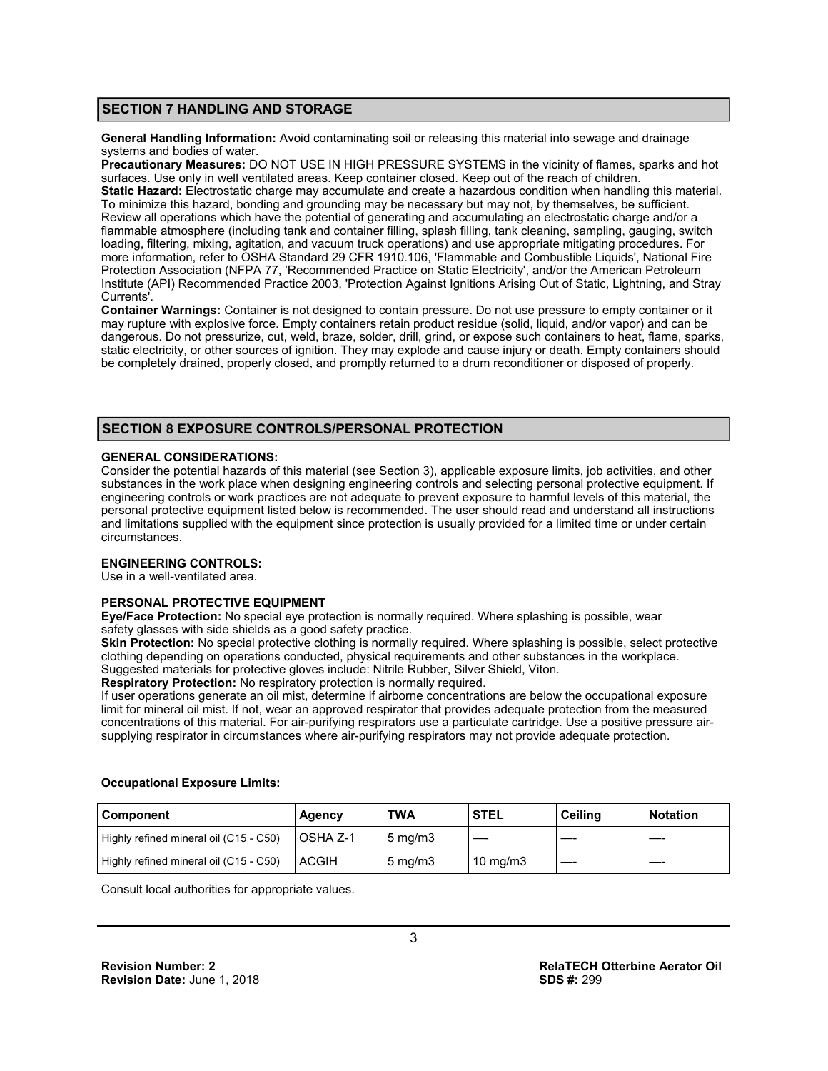#### **SECTION 7 HANDLING AND STORAGE**

**General Handling Information:** Avoid contaminating soil or releasing this material into sewage and drainage systems and bodies of water.

**Precautionary Measures:** DO NOT USE IN HIGH PRESSURE SYSTEMS in the vicinity of flames, sparks and hot surfaces. Use only in well ventilated areas. Keep container closed. Keep out of the reach of children. **Static Hazard:** Electrostatic charge may accumulate and create a hazardous condition when handling this material. To minimize this hazard, bonding and grounding may be necessary but may not, by themselves, be sufficient. Review all operations which have the potential of generating and accumulating an electrostatic charge and/or a flammable atmosphere (including tank and container filling, splash filling, tank cleaning, sampling, gauging, switch loading, filtering, mixing, agitation, and vacuum truck operations) and use appropriate mitigating procedures. For more information, refer to OSHA Standard 29 CFR 1910.106, 'Flammable and Combustible Liquids', National Fire Protection Association (NFPA 77, 'Recommended Practice on Static Electricity', and/or the American Petroleum Institute (API) Recommended Practice 2003, 'Protection Against Ignitions Arising Out of Static, Lightning, and Stray Currents'.

**Container Warnings:** Container is not designed to contain pressure. Do not use pressure to empty container or it may rupture with explosive force. Empty containers retain product residue (solid, liquid, and/or vapor) and can be dangerous. Do not pressurize, cut, weld, braze, solder, drill, grind, or expose such containers to heat, flame, sparks, static electricity, or other sources of ignition. They may explode and cause injury or death. Empty containers should be completely drained, properly closed, and promptly returned to a drum reconditioner or disposed of properly.

#### **SECTION 8 EXPOSURE CONTROLS/PERSONAL PROTECTION**

#### **GENERAL CONSIDERATIONS:**

Consider the potential hazards of this material (see Section 3), applicable exposure limits, job activities, and other substances in the work place when designing engineering controls and selecting personal protective equipment. If engineering controls or work practices are not adequate to prevent exposure to harmful levels of this material, the personal protective equipment listed below is recommended. The user should read and understand all instructions and limitations supplied with the equipment since protection is usually provided for a limited time or under certain circumstances.

#### **ENGINEERING CONTROLS:**

Use in a well-ventilated area.

#### **PERSONAL PROTECTIVE EQUIPMENT**

**Eye/Face Protection:** No special eye protection is normally required. Where splashing is possible, wear safety glasses with side shields as a good safety practice.

**Skin Protection:** No special protective clothing is normally required. Where splashing is possible, select protective clothing depending on operations conducted, physical requirements and other substances in the workplace.

Suggested materials for protective gloves include: Nitrile Rubber, Silver Shield, Viton.

**Respiratory Protection:** No respiratory protection is normally required.

If user operations generate an oil mist, determine if airborne concentrations are below the occupational exposure limit for mineral oil mist. If not, wear an approved respirator that provides adequate protection from the measured concentrations of this material. For air-purifying respirators use a particulate cartridge. Use a positive pressure airsupplying respirator in circumstances where air-purifying respirators may not provide adequate protection.

| <b>Component</b>                       | Agency           | TWA              | <b>STEL</b>       | <b>Ceiling</b> | <b>Notation</b> |
|----------------------------------------|------------------|------------------|-------------------|----------------|-----------------|
| Highly refined mineral oil (C15 - C50) | <b>LOSHA Z-1</b> | $5 \text{ mg/m}$ |                   |                |                 |
| Highly refined mineral oil (C15 - C50) | <b>ACGIH</b>     | $5 \text{ mg/m}$ | $10 \text{ mg/m}$ |                |                 |

#### **Occupational Exposure Limits:**

Consult local authorities for appropriate values.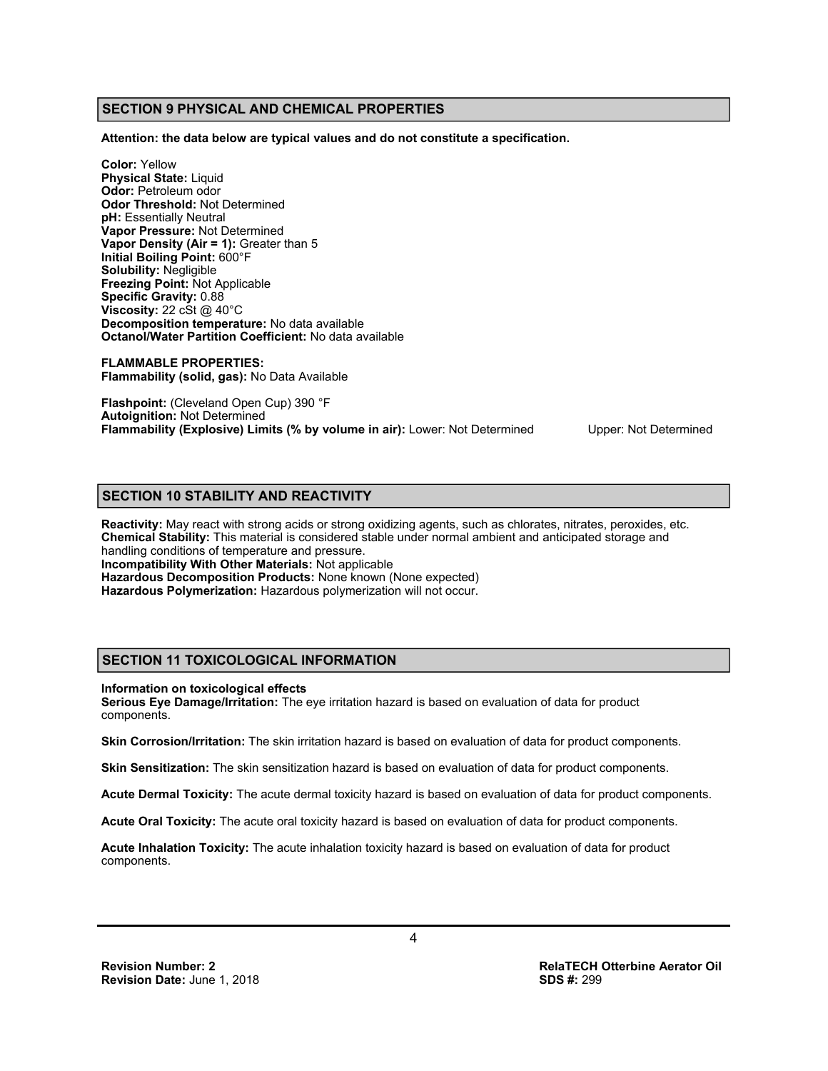#### **SECTION 9 PHYSICAL AND CHEMICAL PROPERTIES**

**Attention: the data below are typical values and do not constitute a specification.** 

**Color:** Yellow **Physical State:** Liquid **Odor:** Petroleum odor **Odor Threshold:** Not Determined **pH:** Essentially Neutral **Vapor Pressure:** Not Determined **Vapor Density (Air = 1):** Greater than 5 **Initial Boiling Point:** 600°F **Solubility:** Negligible **Freezing Point:** Not Applicable **Specific Gravity:** 0.88 **Viscosity:** 22 cSt @ 40°C **Decomposition temperature:** No data available **Octanol/Water Partition Coefficient:** No data available

**FLAMMABLE PROPERTIES: Flammability (solid, gas):** No Data Available

**Flashpoint:** (Cleveland Open Cup) 390 °F **Autoignition:** Not Determined **Flammability (Explosive) Limits (% by volume in air):** Lower: Not Determined Upper: Not Determined

#### **SECTION 10 STABILITY AND REACTIVITY**

**Reactivity:** May react with strong acids or strong oxidizing agents, such as chlorates, nitrates, peroxides, etc. **Chemical Stability:** This material is considered stable under normal ambient and anticipated storage and handling conditions of temperature and pressure. **Incompatibility With Other Materials:** Not applicable **Hazardous Decomposition Products:** None known (None expected) **Hazardous Polymerization:** Hazardous polymerization will not occur.

#### **SECTION 11 TOXICOLOGICAL INFORMATION**

**Information on toxicological effects** 

**Serious Eye Damage/Irritation:** The eye irritation hazard is based on evaluation of data for product components.

**Skin Corrosion/Irritation:** The skin irritation hazard is based on evaluation of data for product components.

**Skin Sensitization:** The skin sensitization hazard is based on evaluation of data for product components.

**Acute Dermal Toxicity:** The acute dermal toxicity hazard is based on evaluation of data for product components.

**Acute Oral Toxicity:** The acute oral toxicity hazard is based on evaluation of data for product components.

**Acute Inhalation Toxicity:** The acute inhalation toxicity hazard is based on evaluation of data for product components.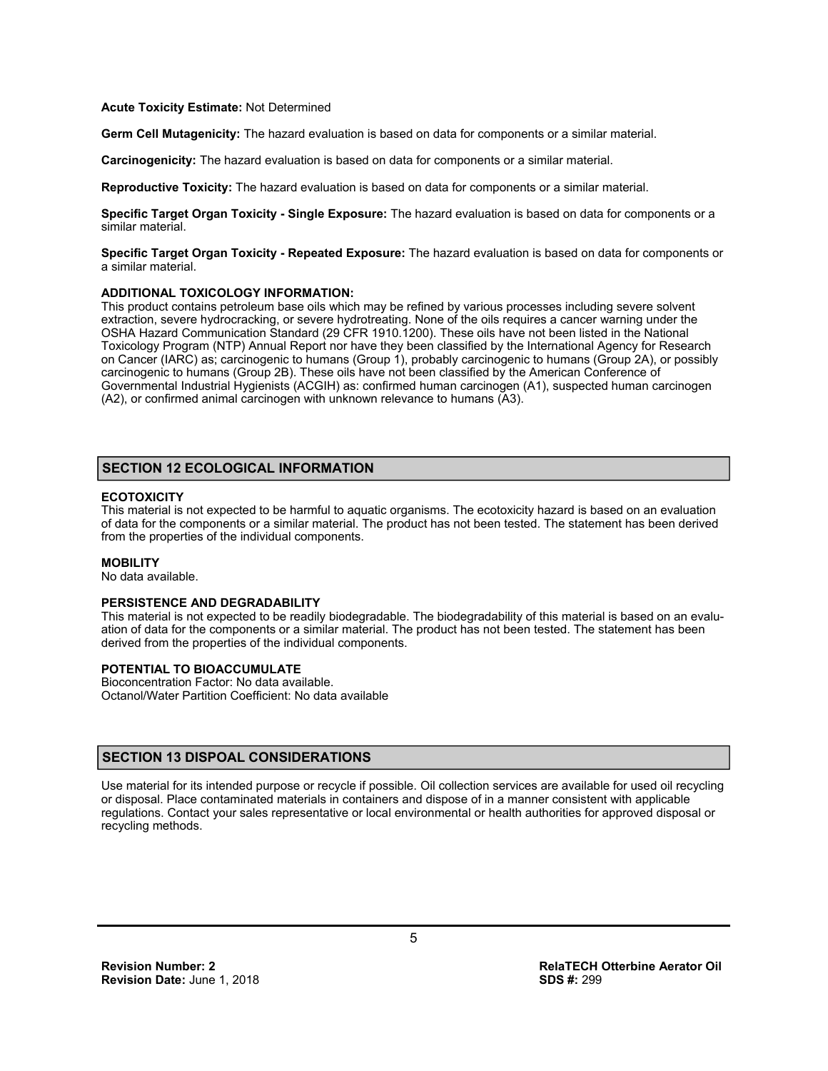#### **Acute Toxicity Estimate:** Not Determined

**Germ Cell Mutagenicity:** The hazard evaluation is based on data for components or a similar material.

**Carcinogenicity:** The hazard evaluation is based on data for components or a similar material.

**Reproductive Toxicity:** The hazard evaluation is based on data for components or a similar material.

**Specific Target Organ Toxicity - Single Exposure:** The hazard evaluation is based on data for components or a similar material.

**Specific Target Organ Toxicity - Repeated Exposure:** The hazard evaluation is based on data for components or a similar material.

#### **ADDITIONAL TOXICOLOGY INFORMATION:**

This product contains petroleum base oils which may be refined by various processes including severe solvent extraction, severe hydrocracking, or severe hydrotreating. None of the oils requires a cancer warning under the OSHA Hazard Communication Standard (29 CFR 1910.1200). These oils have not been listed in the National Toxicology Program (NTP) Annual Report nor have they been classified by the International Agency for Research on Cancer (IARC) as; carcinogenic to humans (Group 1), probably carcinogenic to humans (Group 2A), or possibly carcinogenic to humans (Group 2B). These oils have not been classified by the American Conference of Governmental Industrial Hygienists (ACGIH) as: confirmed human carcinogen (A1), suspected human carcinogen (A2), or confirmed animal carcinogen with unknown relevance to humans (A3).

#### **SECTION 12 ECOLOGICAL INFORMATION**

#### **ECOTOXICITY**

This material is not expected to be harmful to aquatic organisms. The ecotoxicity hazard is based on an evaluation of data for the components or a similar material. The product has not been tested. The statement has been derived from the properties of the individual components.

#### **MOBILITY**

No data available.

#### **PERSISTENCE AND DEGRADABILITY**

This material is not expected to be readily biodegradable. The biodegradability of this material is based on an evaluation of data for the components or a similar material. The product has not been tested. The statement has been derived from the properties of the individual components.

#### **POTENTIAL TO BIOACCUMULATE**

Bioconcentration Factor: No data available. Octanol/Water Partition Coefficient: No data available

#### **SECTION 13 DISPOAL CONSIDERATIONS**

Use material for its intended purpose or recycle if possible. Oil collection services are available for used oil recycling or disposal. Place contaminated materials in containers and dispose of in a manner consistent with applicable regulations. Contact your sales representative or local environmental or health authorities for approved disposal or recycling methods.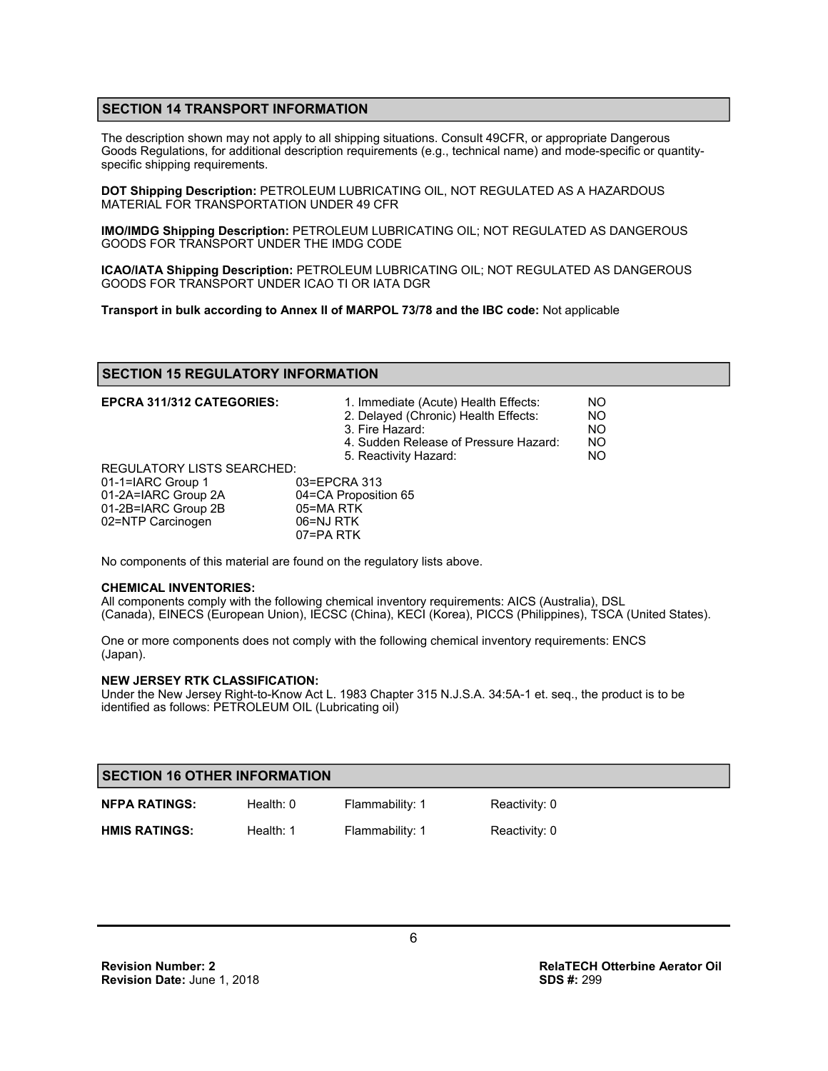#### **SECTION 14 TRANSPORT INFORMATION**

The description shown may not apply to all shipping situations. Consult 49CFR, or appropriate Dangerous Goods Regulations, for additional description requirements (e.g., technical name) and mode-specific or quantityspecific shipping requirements.

**DOT Shipping Description:** PETROLEUM LUBRICATING OIL, NOT REGULATED AS A HAZARDOUS MATERIAL FOR TRANSPORTATION UNDER 49 CFR

**IMO/IMDG Shipping Description:** PETROLEUM LUBRICATING OIL; NOT REGULATED AS DANGEROUS GOODS FOR TRANSPORT UNDER THE IMDG CODE

**ICAO/IATA Shipping Description:** PETROLEUM LUBRICATING OIL; NOT REGULATED AS DANGEROUS GOODS FOR TRANSPORT UNDER ICAO TI OR IATA DGR

**Transport in bulk according to Annex II of MARPOL 73/78 and the IBC code:** Not applicable

#### **SECTION 15 REGULATORY INFORMATION**

| <b>EPCRA 311/312 CATEGORIES:</b>  | 1. Immediate (Acute) Health Effects:<br>2. Delayed (Chronic) Health Effects:<br>3. Fire Hazard:<br>4. Sudden Release of Pressure Hazard:<br>5. Reactivity Hazard: | NO.<br>N <sub>O</sub><br><b>NO</b><br><b>NO</b><br>NO. |
|-----------------------------------|-------------------------------------------------------------------------------------------------------------------------------------------------------------------|--------------------------------------------------------|
| <b>REGULATORY LISTS SEARCHED:</b> |                                                                                                                                                                   |                                                        |
| 01-1=IARC Group 1                 | 03=EPCRA 313                                                                                                                                                      |                                                        |
| 01-2A=IARC Group 2A               | 04=CA Proposition 65                                                                                                                                              |                                                        |
| 01-2B=IARC Group 2B               | 05=MA RTK                                                                                                                                                         |                                                        |
| 02=NTP Carcinogen                 | 06=NJ RTK                                                                                                                                                         |                                                        |
|                                   | 07=PA RTK                                                                                                                                                         |                                                        |

No components of this material are found on the regulatory lists above.

#### **CHEMICAL INVENTORIES:**

All components comply with the following chemical inventory requirements: AICS (Australia), DSL (Canada), EINECS (European Union), IECSC (China), KECI (Korea), PICCS (Philippines), TSCA (United States).

One or more components does not comply with the following chemical inventory requirements: ENCS (Japan).

#### **NEW JERSEY RTK CLASSIFICATION:**

Under the New Jersey Right-to-Know Act L. 1983 Chapter 315 N.J.S.A. 34:5A-1 et. seq., the product is to be identified as follows: PETROLEUM OIL (Lubricating oil)

| <b>SECTION 16 OTHER INFORMATION</b> |             |                 |               |  |
|-------------------------------------|-------------|-----------------|---------------|--|
| <b>NFPA RATINGS:</b>                | Health: $0$ | Flammability: 1 | Reactivity: 0 |  |
| <b>HMIS RATINGS:</b>                | Health: 1   | Flammability: 1 | Reactivity: 0 |  |